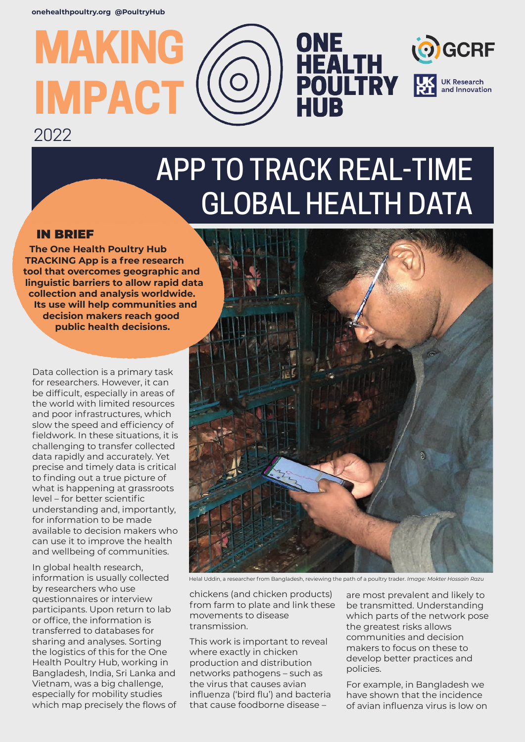# **MAKING IMPACT** 2022

## APP TO TRACK REAL-TIME GLOBAL HEALTH DATA

HUB

ONE<br>HEALTH<br>POULTRY

OGCRF

**UK Research** and Innovation

### IN BRIEF

**The One Health Poultry Hub TRACKING App is a free research tool that overcomes geographic and linguistic barriers to allow rapid data collection and analysis worldwide. Its use will help communities and decision makers reach good public health decisions.**

Data collection is a primary task for researchers. However, it can be difficult, especially in areas of the world with limited resources and poor infrastructures, which slow the speed and efficiency of fieldwork. In these situations, it is challenging to transfer collected data rapidly and accurately. Yet precise and timely data is critical to finding out a true picture of what is happening at grassroots level – for better scientific understanding and, importantly, for information to be made available to decision makers who can use it to improve the health and wellbeing of communities.

In global health research, information is usually collected by researchers who use questionnaires or interview participants. Upon return to lab or office, the information is transferred to databases for sharing and analyses. Sorting the logistics of this for the One Health Poultry Hub, working in Bangladesh, India, Sri Lanka and Vietnam, was a big challenge, especially for mobility studies which map precisely the flows of



Helal Uddin, a researcher from Bangladesh, reviewing the path of a poultry trader. *Image: Mokter Hossain Razu*

chickens (and chicken products) from farm to plate and link these movements to disease transmission.

This work is important to reveal where exactly in chicken production and distribution networks pathogens – such as the virus that causes avian influenza ('bird flu') and bacteria that cause foodborne disease –

are most prevalent and likely to be transmitted. Understanding which parts of the network pose the greatest risks allows communities and decision makers to focus on these to develop better practices and policies.

For example, in Bangladesh we have shown that the incidence of avian influenza virus is low on